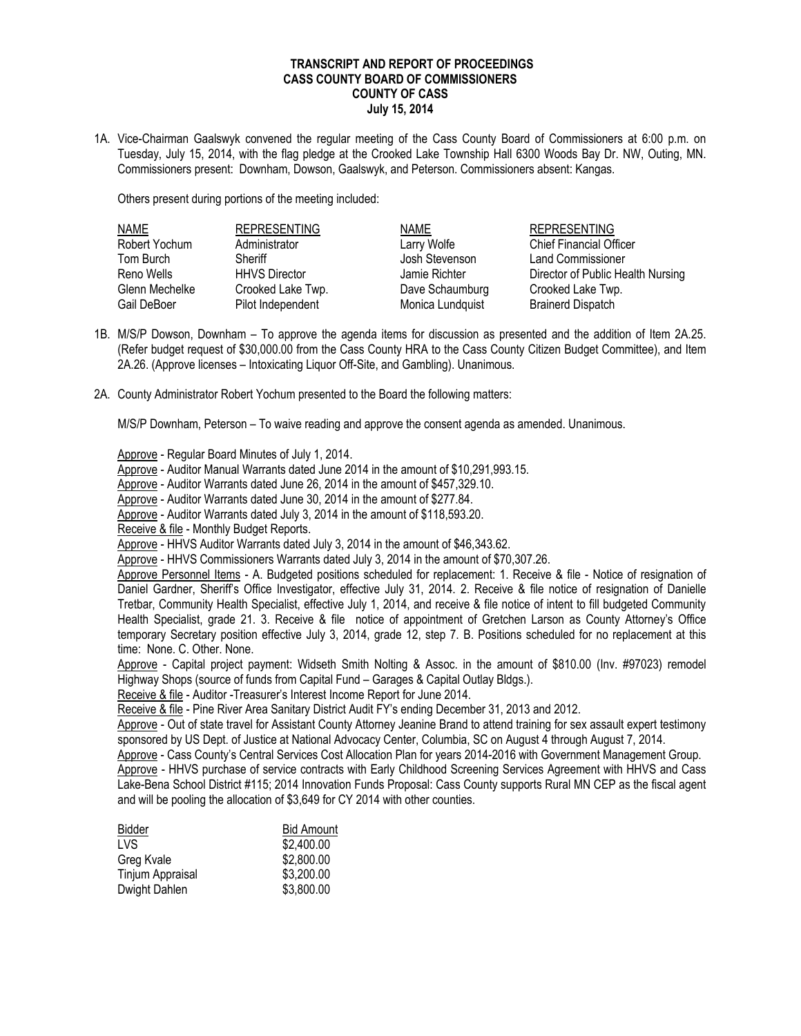## **TRANSCRIPT AND REPORT OF PROCEEDINGS CASS COUNTY BOARD OF COMMISSIONERS COUNTY OF CASS July 15, 2014**

1A. Vice-Chairman Gaalswyk convened the regular meeting of the Cass County Board of Commissioners at 6:00 p.m. on Tuesday, July 15, 2014, with the flag pledge at the Crooked Lake Township Hall 6300 Woods Bay Dr. NW, Outing, MN. Commissioners present: Downham, Dowson, Gaalswyk, and Peterson. Commissioners absent: Kangas.

Others present during portions of the meeting included:

| <b>NAME</b>    | <b>REPRESENTING</b>  | <b>NAME</b>      | <b>REPRESENTING</b>               |
|----------------|----------------------|------------------|-----------------------------------|
| Robert Yochum  | Administrator        | Larry Wolfe      | <b>Chief Financial Officer</b>    |
| Tom Burch      | Sheriff              | Josh Stevenson   | Land Commissioner                 |
| Reno Wells     | <b>HHVS Director</b> | Jamie Richter    | Director of Public Health Nursing |
| Glenn Mechelke | Crooked Lake Twp.    | Dave Schaumburg  | Crooked Lake Twp.                 |
| Gail DeBoer    | Pilot Independent    | Monica Lundquist | <b>Brainerd Dispatch</b>          |

- 1B. M/S/P Dowson, Downham To approve the agenda items for discussion as presented and the addition of Item 2A.25. (Refer budget request of \$30,000.00 from the Cass County HRA to the Cass County Citizen Budget Committee), and Item 2A.26. (Approve licenses – Intoxicating Liquor Off-Site, and Gambling). Unanimous.
- 2A. County Administrator Robert Yochum presented to the Board the following matters:

M/S/P Downham, Peterson – To waive reading and approve the consent agenda as amended. Unanimous.

Approve - Regular Board Minutes of July 1, 2014.

Approve - Auditor Manual Warrants dated June 2014 in the amount of \$10,291,993.15.

Approve - Auditor Warrants dated June 26, 2014 in the amount of \$457,329.10.

Approve - Auditor Warrants dated June 30, 2014 in the amount of \$277.84.

Approve - Auditor Warrants dated July 3, 2014 in the amount of \$118,593.20.

Receive & file - Monthly Budget Reports.

Approve - HHVS Auditor Warrants dated July 3, 2014 in the amount of \$46,343.62.

Approve - HHVS Commissioners Warrants dated July 3, 2014 in the amount of \$70,307.26.

Approve Personnel Items - A. Budgeted positions scheduled for replacement: 1. Receive & file - Notice of resignation of Daniel Gardner, Sheriff's Office Investigator, effective July 31, 2014. 2. Receive & file notice of resignation of Danielle Tretbar, Community Health Specialist, effective July 1, 2014, and receive & file notice of intent to fill budgeted Community Health Specialist, grade 21. 3. Receive & file notice of appointment of Gretchen Larson as County Attorney's Office temporary Secretary position effective July 3, 2014, grade 12, step 7. B. Positions scheduled for no replacement at this time: None. C. Other. None.

Approve - Capital project payment: Widseth Smith Nolting & Assoc. in the amount of \$810.00 (Inv. #97023) remodel Highway Shops (source of funds from Capital Fund – Garages & Capital Outlay Bldgs.).

Receive & file - Auditor -Treasurer's Interest Income Report for June 2014.

Receive & file - Pine River Area Sanitary District Audit FY's ending December 31, 2013 and 2012.

Approve - Out of state travel for Assistant County Attorney Jeanine Brand to attend training for sex assault expert testimony sponsored by US Dept. of Justice at National Advocacy Center, Columbia, SC on August 4 through August 7, 2014.

 Approve - Cass County's Central Services Cost Allocation Plan for years 2014-2016 with Government Management Group. Approve - HHVS purchase of service contracts with Early Childhood Screening Services Agreement with HHVS and Cass Lake-Bena School District #115; 2014 Innovation Funds Proposal: Cass County supports Rural MN CEP as the fiscal agent and will be pooling the allocation of \$3,649 for CY 2014 with other counties.

| Bidder                  | <b>Bid Amount</b> |
|-------------------------|-------------------|
| LVS.                    | \$2,400.00        |
| Greg Kvale              | \$2,800.00        |
| <b>Tinjum Appraisal</b> | \$3,200.00        |
| Dwight Dahlen           | \$3,800.00        |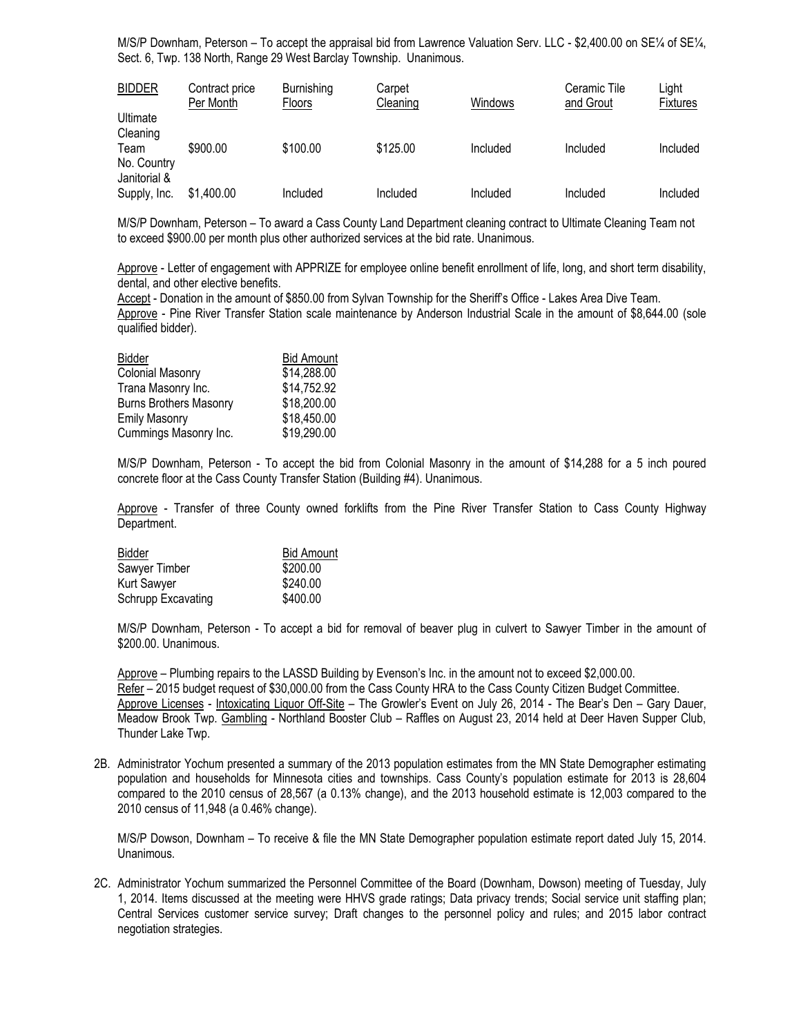M/S/P Downham, Peterson – To accept the appraisal bid from Lawrence Valuation Serv. LLC - \$2,400.00 on SE1/4 of SE1/4, Sect. 6, Twp. 138 North, Range 29 West Barclay Township. Unanimous.

| <b>BIDDER</b>                       | Contract price<br>Per Month | Burnishing<br>Floors | Carpet<br>Cleaning | Windows  | Ceramic Tile<br>and Grout | Light<br><b>Fixtures</b> |
|-------------------------------------|-----------------------------|----------------------|--------------------|----------|---------------------------|--------------------------|
| Ultimate<br>Cleaning                |                             |                      |                    |          |                           |                          |
| Team<br>No. Country<br>Janitorial & | \$900.00                    | \$100.00             | \$125.00           | Included | Included                  | Included                 |
| Supply, Inc.                        | \$1,400.00                  | Included             | Included           | Included | Included                  | Included                 |

M/S/P Downham, Peterson – To award a Cass County Land Department cleaning contract to Ultimate Cleaning Team not to exceed \$900.00 per month plus other authorized services at the bid rate. Unanimous.

Approve - Letter of engagement with APPRIZE for employee online benefit enrollment of life, long, and short term disability, dental, and other elective benefits.

Accept - Donation in the amount of \$850.00 from Sylvan Township for the Sheriff's Office - Lakes Area Dive Team. Approve - Pine River Transfer Station scale maintenance by Anderson Industrial Scale in the amount of \$8,644.00 (sole qualified bidder).

| Bidder                        | <b>Bid Amount</b> |
|-------------------------------|-------------------|
| <b>Colonial Masonry</b>       | \$14,288.00       |
| Trana Masonry Inc.            | \$14,752.92       |
| <b>Burns Brothers Masonry</b> | \$18,200.00       |
| <b>Emily Masonry</b>          | \$18,450.00       |
| Cummings Masonry Inc.         | \$19,290.00       |

M/S/P Downham, Peterson - To accept the bid from Colonial Masonry in the amount of \$14,288 for a 5 inch poured concrete floor at the Cass County Transfer Station (Building #4). Unanimous.

Approve - Transfer of three County owned forklifts from the Pine River Transfer Station to Cass County Highway Department.

| Bidder             | <b>Bid Amount</b> |
|--------------------|-------------------|
| Sawyer Timber      | \$200.00          |
| Kurt Sawyer        | \$240.00          |
| Schrupp Excavating | \$400.00          |

M/S/P Downham, Peterson - To accept a bid for removal of beaver plug in culvert to Sawyer Timber in the amount of \$200.00. Unanimous.

Approve – Plumbing repairs to the LASSD Building by Evenson's Inc. in the amount not to exceed \$2,000.00. Refer – 2015 budget request of \$30,000.00 from the Cass County HRA to the Cass County Citizen Budget Committee. Approve Licenses - Intoxicating Liquor Off-Site – The Growler's Event on July 26, 2014 - The Bear's Den – Gary Dauer, Meadow Brook Twp. Gambling - Northland Booster Club – Raffles on August 23, 2014 held at Deer Haven Supper Club, Thunder Lake Twp.

2B. Administrator Yochum presented a summary of the 2013 population estimates from the MN State Demographer estimating population and households for Minnesota cities and townships. Cass County's population estimate for 2013 is 28,604 compared to the 2010 census of 28,567 (a 0.13% change), and the 2013 household estimate is 12,003 compared to the 2010 census of 11,948 (a 0.46% change).

M/S/P Dowson, Downham – To receive & file the MN State Demographer population estimate report dated July 15, 2014. Unanimous.

2C. Administrator Yochum summarized the Personnel Committee of the Board (Downham, Dowson) meeting of Tuesday, July 1, 2014. Items discussed at the meeting were HHVS grade ratings; Data privacy trends; Social service unit staffing plan; Central Services customer service survey; Draft changes to the personnel policy and rules; and 2015 labor contract negotiation strategies.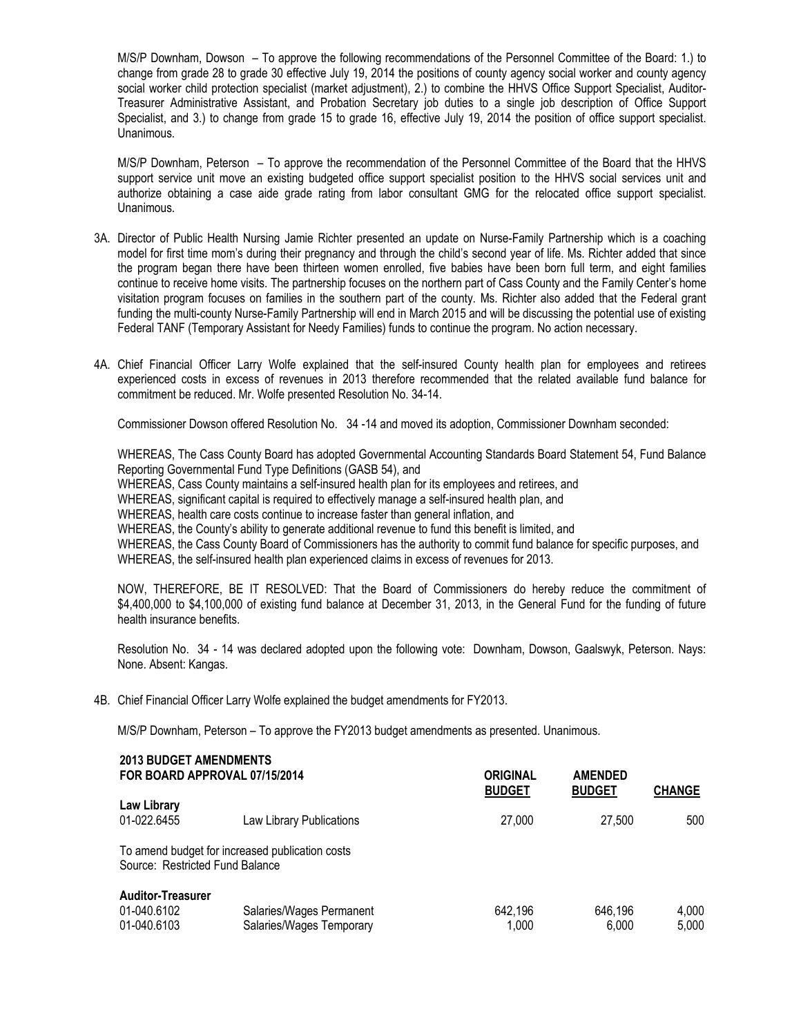M/S/P Downham, Dowson – To approve the following recommendations of the Personnel Committee of the Board: 1.) to change from grade 28 to grade 30 effective July 19, 2014 the positions of county agency social worker and county agency social worker child protection specialist (market adjustment), 2.) to combine the HHVS Office Support Specialist, Auditor-Treasurer Administrative Assistant, and Probation Secretary job duties to a single job description of Office Support Specialist, and 3.) to change from grade 15 to grade 16, effective July 19, 2014 the position of office support specialist. Unanimous.

M/S/P Downham, Peterson – To approve the recommendation of the Personnel Committee of the Board that the HHVS support service unit move an existing budgeted office support specialist position to the HHVS social services unit and authorize obtaining a case aide grade rating from labor consultant GMG for the relocated office support specialist. Unanimous.

- 3A. Director of Public Health Nursing Jamie Richter presented an update on Nurse-Family Partnership which is a coaching model for first time mom's during their pregnancy and through the child's second year of life. Ms. Richter added that since the program began there have been thirteen women enrolled, five babies have been born full term, and eight families continue to receive home visits. The partnership focuses on the northern part of Cass County and the Family Center's home visitation program focuses on families in the southern part of the county. Ms. Richter also added that the Federal grant funding the multi-county Nurse-Family Partnership will end in March 2015 and will be discussing the potential use of existing Federal TANF (Temporary Assistant for Needy Families) funds to continue the program. No action necessary.
- 4A. Chief Financial Officer Larry Wolfe explained that the self-insured County health plan for employees and retirees experienced costs in excess of revenues in 2013 therefore recommended that the related available fund balance for commitment be reduced. Mr. Wolfe presented Resolution No. 34-14.

Commissioner Dowson offered Resolution No. 34 -14 and moved its adoption, Commissioner Downham seconded:

WHEREAS, The Cass County Board has adopted Governmental Accounting Standards Board Statement 54, Fund Balance Reporting Governmental Fund Type Definitions (GASB 54), and

WHEREAS, Cass County maintains a self-insured health plan for its employees and retirees, and

WHEREAS, significant capital is required to effectively manage a self-insured health plan, and

WHEREAS, health care costs continue to increase faster than general inflation, and

WHEREAS, the County's ability to generate additional revenue to fund this benefit is limited, and

WHEREAS, the Cass County Board of Commissioners has the authority to commit fund balance for specific purposes, and WHEREAS, the self-insured health plan experienced claims in excess of revenues for 2013.

NOW, THEREFORE, BE IT RESOLVED: That the Board of Commissioners do hereby reduce the commitment of \$4,400,000 to \$4,100,000 of existing fund balance at December 31, 2013, in the General Fund for the funding of future health insurance benefits.

Resolution No. 34 - 14 was declared adopted upon the following vote: Downham, Dowson, Gaalswyk, Peterson. Nays: None. Absent: Kangas.

4B. Chief Financial Officer Larry Wolfe explained the budget amendments for FY2013.

M/S/P Downham, Peterson – To approve the FY2013 budget amendments as presented. Unanimous.

| <b>2013 BUDGET AMENDMENTS</b><br>FOR BOARD APPROVAL 07/15/2014                     |                                                      | <b>ORIGINAL</b><br><b>BUDGET</b> | <b>AMENDED</b><br><b>BUDGET</b> | <b>CHANGE</b>  |
|------------------------------------------------------------------------------------|------------------------------------------------------|----------------------------------|---------------------------------|----------------|
| Law Library<br>01-022.6455                                                         | Law Library Publications                             | 27,000                           | 27.500                          | 500            |
| To amend budget for increased publication costs<br>Source: Restricted Fund Balance |                                                      |                                  |                                 |                |
| <b>Auditor-Treasurer</b><br>01-040.6102<br>01-040.6103                             | Salaries/Wages Permanent<br>Salaries/Wages Temporary | 642,196<br>1.000                 | 646,196<br>6.000                | 4,000<br>5.000 |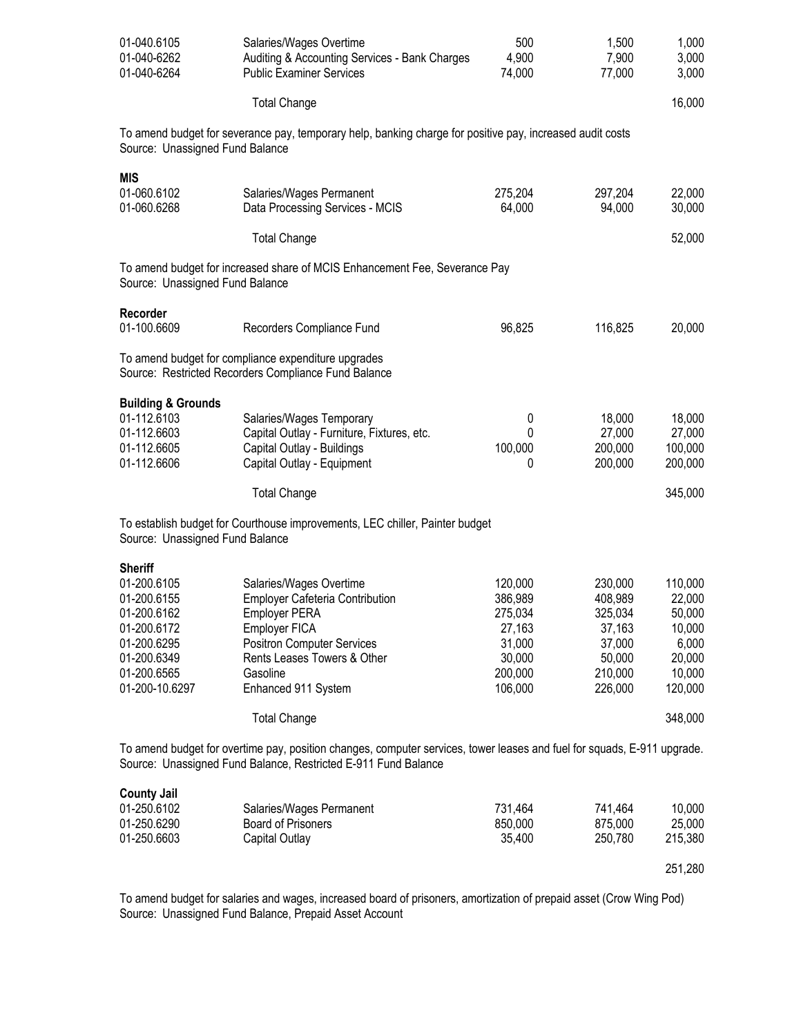| 01-040.6105<br>01-040-6262<br>01-040-6264                                                                                                 | Salaries/Wages Overtime<br>Auditing & Accounting Services - Bank Charges<br><b>Public Examiner Services</b>                                                                                                       | 500<br>4,900<br>74,000                                                            | 1,500<br>7,900<br>77,000                                                          | 1,000<br>3,000<br>3,000                                                       |
|-------------------------------------------------------------------------------------------------------------------------------------------|-------------------------------------------------------------------------------------------------------------------------------------------------------------------------------------------------------------------|-----------------------------------------------------------------------------------|-----------------------------------------------------------------------------------|-------------------------------------------------------------------------------|
|                                                                                                                                           | <b>Total Change</b>                                                                                                                                                                                               |                                                                                   |                                                                                   | 16,000                                                                        |
| Source: Unassigned Fund Balance                                                                                                           | To amend budget for severance pay, temporary help, banking charge for positive pay, increased audit costs                                                                                                         |                                                                                   |                                                                                   |                                                                               |
| <b>MIS</b><br>01-060.6102<br>01-060.6268                                                                                                  | Salaries/Wages Permanent<br>Data Processing Services - MCIS                                                                                                                                                       | 275,204<br>64,000                                                                 | 297,204<br>94,000                                                                 | 22,000<br>30,000                                                              |
|                                                                                                                                           | <b>Total Change</b>                                                                                                                                                                                               |                                                                                   |                                                                                   | 52,000                                                                        |
| Source: Unassigned Fund Balance                                                                                                           | To amend budget for increased share of MCIS Enhancement Fee, Severance Pay                                                                                                                                        |                                                                                   |                                                                                   |                                                                               |
| Recorder<br>01-100.6609                                                                                                                   | Recorders Compliance Fund                                                                                                                                                                                         | 96,825                                                                            | 116,825                                                                           | 20,000                                                                        |
|                                                                                                                                           | To amend budget for compliance expenditure upgrades<br>Source: Restricted Recorders Compliance Fund Balance                                                                                                       |                                                                                   |                                                                                   |                                                                               |
| <b>Building &amp; Grounds</b><br>01-112.6103<br>01-112.6603<br>01-112.6605<br>01-112.6606                                                 | Salaries/Wages Temporary<br>Capital Outlay - Furniture, Fixtures, etc.<br>Capital Outlay - Buildings<br>Capital Outlay - Equipment                                                                                | 0<br>0<br>100,000<br>0                                                            | 18,000<br>27,000<br>200,000<br>200,000                                            | 18,000<br>27,000<br>100,000<br>200,000                                        |
|                                                                                                                                           | <b>Total Change</b>                                                                                                                                                                                               |                                                                                   |                                                                                   | 345,000                                                                       |
| Source: Unassigned Fund Balance                                                                                                           | To establish budget for Courthouse improvements, LEC chiller, Painter budget                                                                                                                                      |                                                                                   |                                                                                   |                                                                               |
| <b>Sheriff</b><br>01-200.6105<br>01-200.6155<br>01-200.6162<br>01-200.6172<br>01-200.6295<br>01-200.6349<br>01-200.6565<br>01-200-10.6297 | Salaries/Wages Overtime<br><b>Employer Cafeteria Contribution</b><br><b>Employer PERA</b><br>Employer FICA<br><b>Positron Computer Services</b><br>Rents Leases Towers & Other<br>Gasoline<br>Enhanced 911 System | 120,000<br>386,989<br>275,034<br>27,163<br>31,000<br>30,000<br>200,000<br>106,000 | 230,000<br>408,989<br>325,034<br>37,163<br>37,000<br>50,000<br>210,000<br>226,000 | 110,000<br>22,000<br>50,000<br>10,000<br>6,000<br>20,000<br>10,000<br>120,000 |
|                                                                                                                                           | <b>Total Change</b>                                                                                                                                                                                               |                                                                                   |                                                                                   | 348,000                                                                       |
|                                                                                                                                           | To amend budget for overtime pay, position changes, computer services, tower leases and fuel for squads, E-911 upgrade.<br>Source: Unassigned Fund Balance, Restricted E-911 Fund Balance                         |                                                                                   |                                                                                   |                                                                               |
| <b>County Jail</b><br>01-250.6102<br>01-250.6290<br>01-250.6603                                                                           | Salaries/Wages Permanent<br><b>Board of Prisoners</b><br>Capital Outlay                                                                                                                                           | 731,464<br>850,000<br>35,400                                                      | 741,464<br>875,000<br>250,780                                                     | 10,000<br>25,000<br>215,380<br>251,280                                        |

To amend budget for salaries and wages, increased board of prisoners, amortization of prepaid asset (Crow Wing Pod) Source: Unassigned Fund Balance, Prepaid Asset Account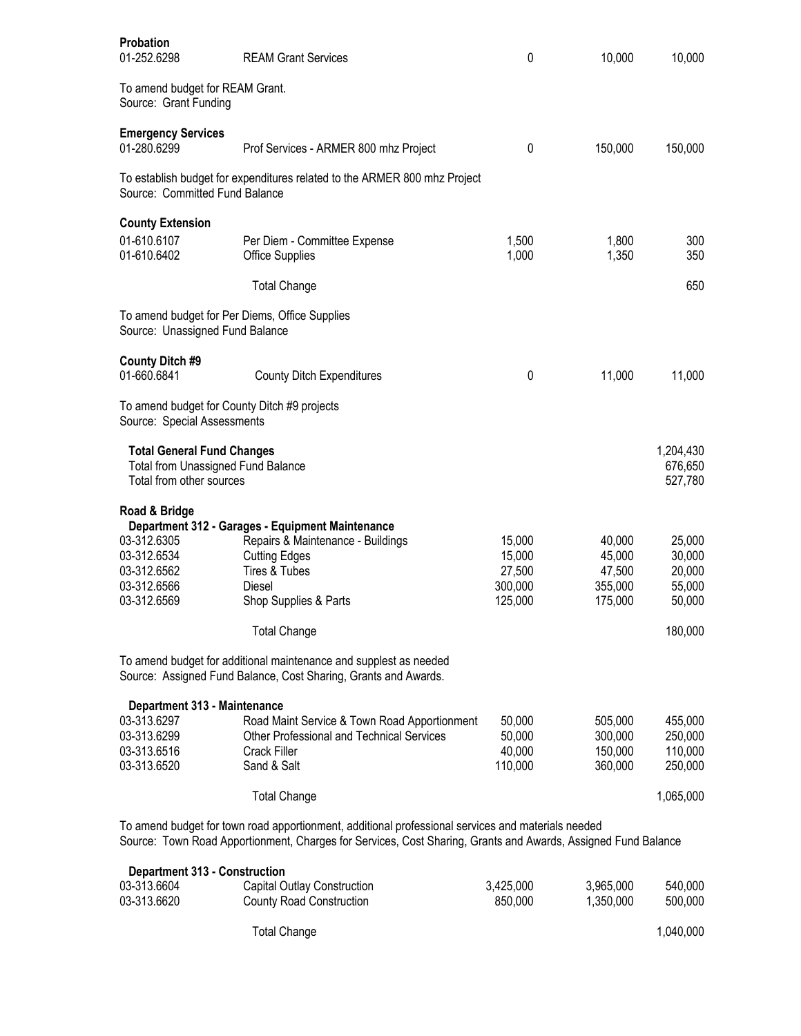| <b>Probation</b><br>01-252.6298                                                                            | <b>REAM Grant Services</b>                                                                                                                                                                                          | 0                                                | 10,000                                           | 10,000                                         |
|------------------------------------------------------------------------------------------------------------|---------------------------------------------------------------------------------------------------------------------------------------------------------------------------------------------------------------------|--------------------------------------------------|--------------------------------------------------|------------------------------------------------|
| To amend budget for REAM Grant.<br>Source: Grant Funding                                                   |                                                                                                                                                                                                                     |                                                  |                                                  |                                                |
| <b>Emergency Services</b><br>01-280.6299                                                                   | Prof Services - ARMER 800 mhz Project                                                                                                                                                                               | 0                                                | 150,000                                          | 150,000                                        |
| Source: Committed Fund Balance                                                                             | To establish budget for expenditures related to the ARMER 800 mhz Project                                                                                                                                           |                                                  |                                                  |                                                |
| <b>County Extension</b><br>01-610.6107<br>01-610.6402                                                      | Per Diem - Committee Expense<br><b>Office Supplies</b>                                                                                                                                                              | 1,500<br>1,000                                   | 1,800<br>1,350                                   | 300<br>350                                     |
|                                                                                                            | <b>Total Change</b>                                                                                                                                                                                                 |                                                  |                                                  | 650                                            |
| To amend budget for Per Diems, Office Supplies<br>Source: Unassigned Fund Balance                          |                                                                                                                                                                                                                     |                                                  |                                                  |                                                |
| <b>County Ditch #9</b><br>01-660.6841                                                                      | <b>County Ditch Expenditures</b>                                                                                                                                                                                    | 0                                                | 11,000                                           | 11,000                                         |
| To amend budget for County Ditch #9 projects<br>Source: Special Assessments                                |                                                                                                                                                                                                                     |                                                  |                                                  |                                                |
| <b>Total General Fund Changes</b><br><b>Total from Unassigned Fund Balance</b><br>Total from other sources |                                                                                                                                                                                                                     |                                                  |                                                  | 1,204,430<br>676,650<br>527,780                |
| Road & Bridge                                                                                              |                                                                                                                                                                                                                     |                                                  |                                                  |                                                |
| 03-312.6305<br>03-312.6534<br>03-312.6562<br>03-312.6566<br>03-312.6569                                    | Department 312 - Garages - Equipment Maintenance<br>Repairs & Maintenance - Buildings<br><b>Cutting Edges</b><br>Tires & Tubes<br>Diesel<br>Shop Supplies & Parts                                                   | 15,000<br>15,000<br>27,500<br>300,000<br>125,000 | 40,000<br>45,000<br>47,500<br>355,000<br>175,000 | 25,000<br>30,000<br>20,000<br>55,000<br>50,000 |
|                                                                                                            | <b>Total Change</b>                                                                                                                                                                                                 |                                                  |                                                  | 180,000                                        |
|                                                                                                            | To amend budget for additional maintenance and supplest as needed<br>Source: Assigned Fund Balance, Cost Sharing, Grants and Awards.                                                                                |                                                  |                                                  |                                                |
| Department 313 - Maintenance<br>03-313.6297<br>03-313.6299<br>03-313.6516<br>03-313.6520                   | Road Maint Service & Town Road Apportionment<br><b>Other Professional and Technical Services</b><br>Crack Filler<br>Sand & Salt                                                                                     | 50,000<br>50,000<br>40,000<br>110,000            | 505,000<br>300,000<br>150,000<br>360,000         | 455,000<br>250,000<br>110,000<br>250,000       |
|                                                                                                            | <b>Total Change</b>                                                                                                                                                                                                 |                                                  |                                                  | 1,065,000                                      |
|                                                                                                            | To amend budget for town road apportionment, additional professional services and materials needed<br>Source: Town Road Apportionment, Charges for Services, Cost Sharing, Grants and Awards, Assigned Fund Balance |                                                  |                                                  |                                                |
| <b>Department 313 - Construction</b><br>03-313.6604<br>03-313.6620                                         | Capital Outlay Construction<br><b>County Road Construction</b>                                                                                                                                                      | 3,425,000<br>850,000                             | 3,965,000<br>1,350,000                           | 540,000<br>500,000                             |
|                                                                                                            | <b>Total Change</b>                                                                                                                                                                                                 |                                                  |                                                  | 1,040,000                                      |

| otal Change | 1,040,000 |
|-------------|-----------|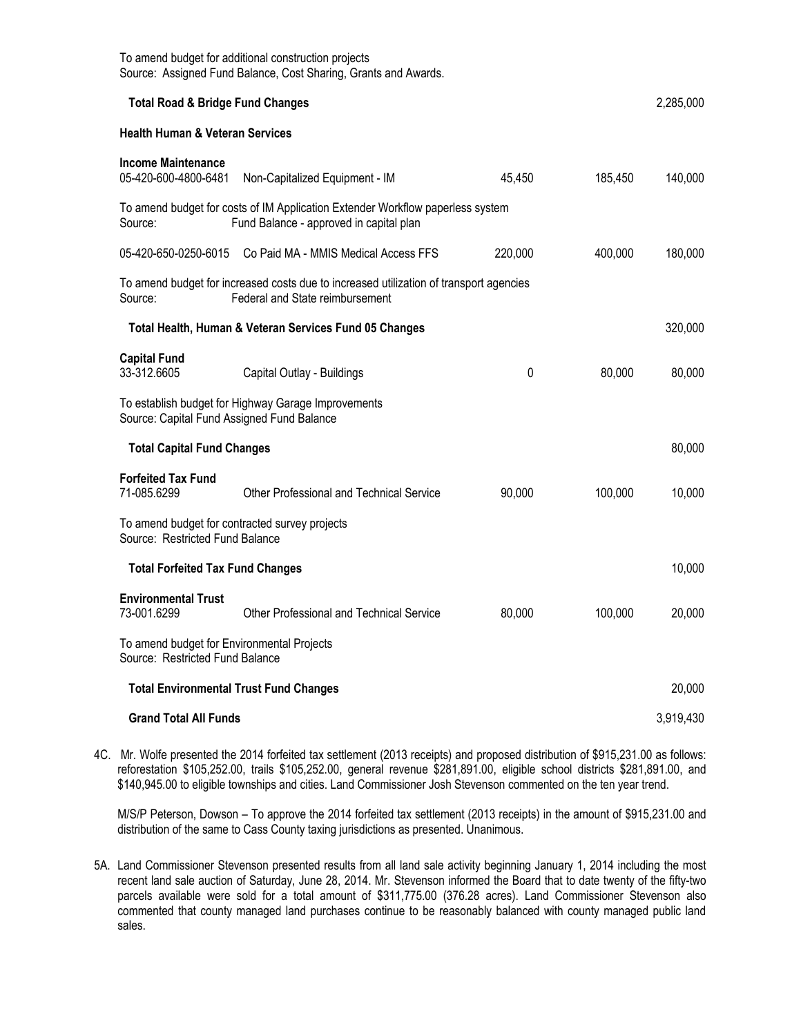| To amend budget for additional construction projects<br>Source: Assigned Fund Balance, Cost Sharing, Grants and Awards. |                                                                                                                           |         |         |           |
|-------------------------------------------------------------------------------------------------------------------------|---------------------------------------------------------------------------------------------------------------------------|---------|---------|-----------|
| <b>Total Road &amp; Bridge Fund Changes</b>                                                                             |                                                                                                                           |         |         | 2,285,000 |
| <b>Health Human &amp; Veteran Services</b>                                                                              |                                                                                                                           |         |         |           |
| <b>Income Maintenance</b><br>05-420-600-4800-6481                                                                       | Non-Capitalized Equipment - IM                                                                                            | 45,450  | 185,450 | 140,000   |
| Source:                                                                                                                 | To amend budget for costs of IM Application Extender Workflow paperless system<br>Fund Balance - approved in capital plan |         |         |           |
| 05-420-650-0250-6015                                                                                                    | Co Paid MA - MMIS Medical Access FFS                                                                                      | 220,000 | 400,000 | 180,000   |
| Source:                                                                                                                 | To amend budget for increased costs due to increased utilization of transport agencies<br>Federal and State reimbursement |         |         |           |
|                                                                                                                         | Total Health, Human & Veteran Services Fund 05 Changes                                                                    |         |         | 320,000   |
| <b>Capital Fund</b><br>33-312.6605                                                                                      | Capital Outlay - Buildings                                                                                                | 0       | 80,000  | 80,000    |
| Source: Capital Fund Assigned Fund Balance                                                                              | To establish budget for Highway Garage Improvements                                                                       |         |         |           |
| <b>Total Capital Fund Changes</b>                                                                                       |                                                                                                                           |         |         | 80,000    |
| <b>Forfeited Tax Fund</b><br>71-085.6299                                                                                | <b>Other Professional and Technical Service</b>                                                                           | 90,000  | 100,000 | 10,000    |
| To amend budget for contracted survey projects<br>Source: Restricted Fund Balance                                       |                                                                                                                           |         |         |           |
| <b>Total Forfeited Tax Fund Changes</b>                                                                                 |                                                                                                                           |         |         | 10,000    |
| <b>Environmental Trust</b><br>73-001.6299                                                                               | Other Professional and Technical Service                                                                                  | 80,000  | 100,000 | 20,000    |
| To amend budget for Environmental Projects<br>Source: Restricted Fund Balance                                           |                                                                                                                           |         |         |           |
| <b>Total Environmental Trust Fund Changes</b>                                                                           |                                                                                                                           |         |         | 20,000    |
| <b>Grand Total All Funds</b>                                                                                            |                                                                                                                           |         |         | 3,919,430 |

4C. Mr. Wolfe presented the 2014 forfeited tax settlement (2013 receipts) and proposed distribution of \$915,231.00 as follows: reforestation \$105,252.00, trails \$105,252.00, general revenue \$281,891.00, eligible school districts \$281,891.00, and \$140,945.00 to eligible townships and cities. Land Commissioner Josh Stevenson commented on the ten year trend.

M/S/P Peterson, Dowson – To approve the 2014 forfeited tax settlement (2013 receipts) in the amount of \$915,231.00 and distribution of the same to Cass County taxing jurisdictions as presented. Unanimous.

5A. Land Commissioner Stevenson presented results from all land sale activity beginning January 1, 2014 including the most recent land sale auction of Saturday, June 28, 2014. Mr. Stevenson informed the Board that to date twenty of the fifty-two parcels available were sold for a total amount of \$311,775.00 (376.28 acres). Land Commissioner Stevenson also commented that county managed land purchases continue to be reasonably balanced with county managed public land sales.